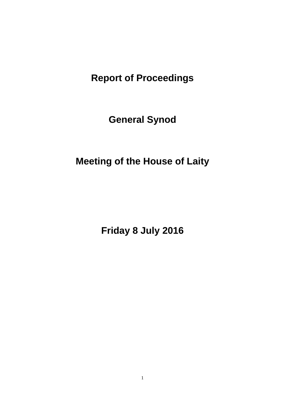**Report of Proceedings** 

**General Synod**

**Meeting of the House of Laity**

**Friday 8 July 2016**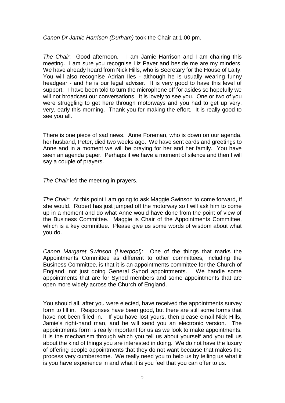*Canon Dr Jamie Harrison (Durham)* took the Chair at 1.00 pm.

*The Chair*: Good afternoon. I am Jamie Harrison and I am chairing this meeting. I am sure you recognise Liz Paver and beside me are my minders. We have already heard from Nick Hills, who is Secretary for the House of Laity. You will also recognise Adrian Iles - although he is usually wearing funny headgear - and he is our legal adviser. It is very good to have this level of support. I have been told to turn the microphone off for asides so hopefully we will not broadcast our conversations. It is lovely to see you. One or two of you were struggling to get here through motorways and you had to get up very. very, early this morning. Thank you for making the effort. It is really good to see you all.

There is one piece of sad news. Anne Foreman, who is down on our agenda, her husband, Peter, died two weeks ago. We have sent cards and greetings to Anne and in a moment we will be praying for her and her family. You have seen an agenda paper. Perhaps if we have a moment of silence and then I will say a couple of prayers.

*The Chair* led the meeting in prayers.

*The Chair*: At this point I am going to ask Maggie Swinson to come forward, if she would. Robert has just jumped off the motorway so I will ask him to come up in a moment and do what Anne would have done from the point of view of the Business Committee. Maggie is Chair of the Appointments Committee, which is a key committee. Please give us some words of wisdom about what you do.

*Canon Margaret Swinson (Liverpool)*: One of the things that marks the Appointments Committee as different to other committees, including the Business Committee, is that it is an appointments committee for the Church of England, not just doing General Synod appointments. We handle some appointments that are for Synod members and some appointments that are open more widely across the Church of England.

You should all, after you were elected, have received the appointments survey form to fill in. Responses have been good, but there are still some forms that have not been filled in. If you have lost yours, then please email Nick Hills. Jamie's right-hand man, and he will send you an electronic version. The appointments form is really important for us as we look to make appointments. It is the mechanism through which you tell us about yourself and you tell us about the kind of things you are interested in doing. We do not have the luxury of offering people appointments that they do not want because that makes the process very cumbersome. We really need you to help us by telling us what it is you have experience in and what it is you feel that you can offer to us.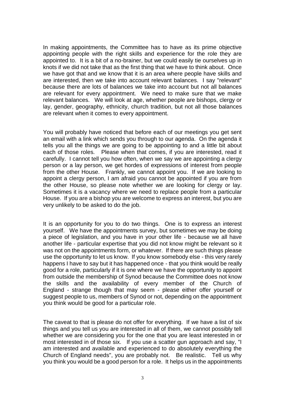In making appointments, the Committee has to have as its prime objective appointing people with the right skills and experience for the role they are appointed to. It is a bit of a no-brainer, but we could easily tie ourselves up in knots if we did not take that as the first thing that we have to think about. Once we have got that and we know that it is an area where people have skills and are interested, then we take into account relevant balances. I say "relevant" because there are lots of balances we take into account but not all balances are relevant for every appointment. We need to make sure that we make relevant balances. We will look at age, whether people are bishops, clergy or lay, gender, geography, ethnicity, church tradition, but not all those balances are relevant when it comes to every appointment.

You will probably have noticed that before each of our meetings you get sent an email with a link which sends you through to our agenda. On the agenda it tells you all the things we are going to be appointing to and a little bit about each of those roles. Please when that comes, if you are interested, read it carefully. I cannot tell you how often, when we say we are appointing a clergy person or a lay person, we get hordes of expressions of interest from people from the other House. Frankly, we cannot appoint you. If we are looking to appoint a clergy person, I am afraid you cannot be appointed if you are from the other House, so please note whether we are looking for clergy or lay. Sometimes it is a vacancy where we need to replace people from a particular House. If you are a bishop you are welcome to express an interest, but you are very unlikely to be asked to do the job.

It is an opportunity for you to do two things. One is to express an interest yourself. We have the appointments survey, but sometimes we may be doing a piece of legislation, and you have in your other life - because we all have another life - particular expertise that you did not know might be relevant so it was not on the appointments form, or whatever. If there are such things please use the opportunity to let us know. If you know somebody else - this very rarely happens I have to say but it has happened once - that you think would be really good for a role, particularly if it is one where we have the opportunity to appoint from outside the membership of Synod because the Committee does not know the skills and the availability of every member of the Church of England - strange though that may seem - please either offer yourself or suggest people to us, members of Synod or not, depending on the appointment you think would be good for a particular role.

The caveat to that is please do not offer for everything. If we have a list of six things and you tell us you are interested in all of them, we cannot possibly tell whether we are considering you for the one that you are least interested in or most interested in of those six. If you use a scatter gun approach and say, "I am interested and available and experienced to do absolutely everything the Church of England needs", you are probably not. Be realistic. Tell us why you think you would be a good person for a role. It helps us in the appointments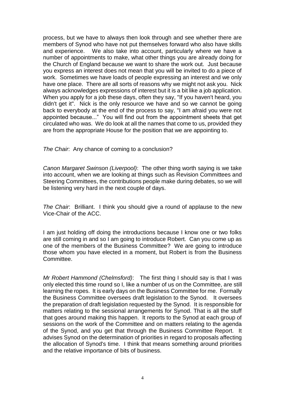process, but we have to always then look through and see whether there are members of Synod who have not put themselves forward who also have skills and experience. We also take into account, particularly where we have a number of appointments to make, what other things you are already doing for the Church of England because we want to share the work out. Just because you express an interest does not mean that you will be invited to do a piece of work. Sometimes we have loads of people expressing an interest and we only have one place. There are all sorts of reasons why we might not ask you. Nick always acknowledges expressions of interest but it is a bit like a job application. When you apply for a job these days, often they say, "If you haven't heard, you didn't get it". Nick is the only resource we have and so we cannot be going back to everybody at the end of the process to say, "I am afraid you were not appointed because..." You will find out from the appointment sheets that get circulated who was. We do look at all the names that come to us, provided they are from the appropriate House for the position that we are appointing to.

*The Chair*: Any chance of coming to a conclusion?

*Canon Margaret Swinson (Liverpool)*: The other thing worth saying is we take into account, when we are looking at things such as Revision Committees and Steering Committees, the contributions people make during debates, so we will be listening very hard in the next couple of days.

*The Chair*: Brilliant. I think you should give a round of applause to the new Vice-Chair of the ACC.

I am just holding off doing the introductions because I know one or two folks are still coming in and so I am going to introduce Robert. Can you come up as one of the members of the Business Committee? We are going to introduce those whom you have elected in a moment, but Robert is from the Business Committee.

*Mr Robert Hammond (Chelmsford)*: The first thing I should say is that I was only elected this time round so I, like a number of us on the Committee, are still learning the ropes. It is early days on the Business Committee for me. Formally the Business Committee oversees draft legislation to the Synod. It oversees the preparation of draft legislation requested by the Synod. It is responsible for matters relating to the sessional arrangements for Synod. That is all the stuff that goes around making this happen. It reports to the Synod at each group of sessions on the work of the Committee and on matters relating to the agenda of the Synod, and you get that through the Business Committee Report. It advises Synod on the determination of priorities in regard to proposals affecting the allocation of Synod's time. I think that means something around priorities and the relative importance of bits of business.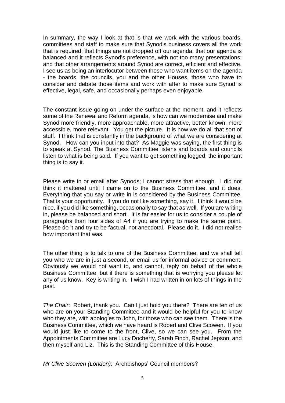In summary, the way I look at that is that we work with the various boards, committees and staff to make sure that Synod's business covers all the work that is required; that things are not dropped off our agenda; that our agenda is balanced and it reflects Synod's preference, with not too many presentations; and that other arrangements around Synod are correct, efficient and effective. I see us as being an interlocutor between those who want items on the agenda - the boards, the councils, you and the other Houses, those who have to consider and debate those items and work with after to make sure Synod is effective, legal, safe, and occasionally perhaps even enjoyable.

The constant issue going on under the surface at the moment, and it reflects some of the Renewal and Reform agenda, is how can we modernise and make Synod more friendly, more approachable, more attractive, better known, more accessible, more relevant. You get the picture. It is how we do all that sort of stuff. I think that is constantly in the background of what we are considering at Synod. How can you input into that? As Maggie was saying, the first thing is to speak at Synod. The Business Committee listens and boards and councils listen to what is being said. If you want to get something logged, the important thing is to say it.

Please write in or email after Synods; I cannot stress that enough. I did not think it mattered until I came on to the Business Committee, and it does. Everything that you say or write in is considered by the Business Committee. That is your opportunity. If you do not like something, say it. I think it would be nice, if you did like something, occasionally to say that as well. If you are writing in, please be balanced and short. It is far easier for us to consider a couple of paragraphs than four sides of A4 if you are trying to make the same point. Please do it and try to be factual, not anecdotal. Please do it. I did not realise how important that was.

The other thing is to talk to one of the Business Committee, and we shall tell you who we are in just a second, or email us for informal advice or comment. Obviously we would not want to, and cannot, reply on behalf of the whole Business Committee, but if there is something that is worrying you please let any of us know. Key is writing in. I wish I had written in on lots of things in the past.

*The Chair*: Robert, thank you. Can I just hold you there? There are ten of us who are on your Standing Committee and it would be helpful for you to know who they are, with apologies to John, for those who can see them. There is the Business Committee, which we have heard is Robert and Clive Scowen. If you would just like to come to the front, Clive, so we can see you. From the Appointments Committee are Lucy Docherty, Sarah Finch, Rachel Jepson, and then myself and Liz. This is the Standing Committee of this House.

*Mr Clive Scowen (London)*: Archbishops' Council members?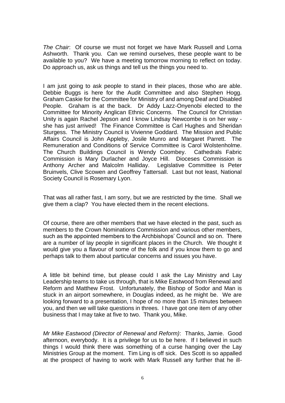*The Chair*: Of course we must not forget we have Mark Russell and Lorna Ashworth. Thank you. Can we remind ourselves, these people want to be available to you? We have a meeting tomorrow morning to reflect on today. Do approach us, ask us things and tell us the things you need to.

I am just going to ask people to stand in their places, those who are able. Debbie Buggs is here for the Audit Committee and also Stephen Hogg. Graham Caskie for the Committee for Ministry of and among Deaf and Disabled People. Graham is at the back. Dr Addy Lazz-Onyenobi elected to the Committee for Minority Anglican Ethnic Concerns. The Council for Christian Unity is again Rachel Jepson and I know Lindsay Newcombe is on her way she has just arrived! The Finance Committee is Carl Hughes and Sheridan Sturgess. The Ministry Council is Vivienne Goddard. The Mission and Public Affairs Council is John Appleby, Josile Munro and Margaret Parrett. The Remuneration and Conditions of Service Committee is Carol Wolstenholme. The Church Buildings Council is Wendy Coombey. Cathedrals Fabric Commission is Mary Durlacher and Joyce Hill. Dioceses Commission is Anthony Archer and Malcolm Halliday. Legislative Committee is Peter Bruinvels, Clive Scowen and Geoffrey Tattersall. Last but not least, National Society Council is Rosemary Lyon.

That was all rather fast, I am sorry, but we are restricted by the time. Shall we give them a clap? You have elected them in the recent elections.

Of course, there are other members that we have elected in the past, such as members to the Crown Nominations Commission and various other members, such as the appointed members to the Archbishops' Council and so on. There are a number of lay people in significant places in the Church. We thought it would give you a flavour of some of the folk and if you know them to go and perhaps talk to them about particular concerns and issues you have.

A little bit behind time, but please could I ask the Lay Ministry and Lay Leadership teams to take us through, that is Mike Eastwood from Renewal and Reform and Matthew Frost. Unfortunately, the Bishop of Sodor and Man is stuck in an airport somewhere, in Douglas indeed, as he might be. We are looking forward to a presentation, I hope of no more than 15 minutes between you, and then we will take questions in threes. I have got one item of any other business that I may take at five to two. Thank you, Mike.

*Mr Mike Eastwood (Director of Renewal and Reform)*: Thanks, Jamie. Good afternoon, everybody. It is a privilege for us to be here. If I believed in such things I would think there was something of a curse hanging over the Lay Ministries Group at the moment. Tim Ling is off sick. Des Scott is so appalled at the prospect of having to work with Mark Russell any further that he ill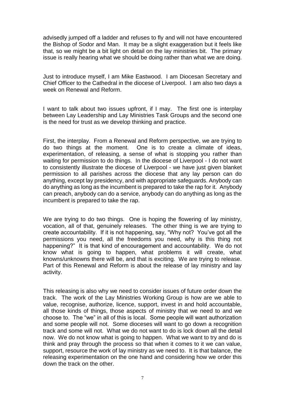advisedly jumped off a ladder and refuses to fly and will not have encountered the Bishop of Sodor and Man. It may be a slight exaggeration but it feels like that, so we might be a bit light on detail on the lay ministries bit. The primary issue is really hearing what we should be doing rather than what we are doing.

Just to introduce myself, I am Mike Eastwood. I am Diocesan Secretary and Chief Officer to the Cathedral in the diocese of Liverpool. I am also two days a week on Renewal and Reform.

I want to talk about two issues upfront, if I may. The first one is interplay between Lay Leadership and Lay Ministries Task Groups and the second one is the need for trust as we develop thinking and practice.

First, the interplay. From a Renewal and Reform perspective, we are trying to do two things at the moment. One is to create a climate of ideas, experimentation, of releasing, a sense of what is stopping you rather than waiting for permission to do things. In the diocese of Liverpool - I do not want to consistently illustrate the diocese of Liverpool - we have just given blanket permission to all parishes across the diocese that any lay person can do anything, except lay presidency, and with appropriate safeguards. Anybody can do anything as long as the incumbent is prepared to take the rap for it. Anybody can preach, anybody can do a service, anybody can do anything as long as the incumbent is prepared to take the rap.

We are trying to do two things. One is hoping the flowering of lay ministry, vocation, all of that, genuinely releases. The other thing is we are trying to create accountability. If it is not happening, say, "Why not? You've got all the permissions you need, all the freedoms you need, why is this thing not happening?" It is that kind of encouragement and accountability. We do not know what is going to happen, what problems it will create, what knowns/unknowns there will be, and that is exciting. We are trying to release. Part of this Renewal and Reform is about the release of lay ministry and lay activity.

This releasing is also why we need to consider issues of future order down the track. The work of the Lay Ministries Working Group is how are we able to value, recognise, authorize, licence, support, invest in and hold accountable, all those kinds of things, those aspects of ministry that we need to and we choose to. The "we" in all of this is local. Some people will want authorization and some people will not. Some dioceses will want to go down a recognition track and some will not. What we do not want to do is lock down all the detail now. We do not know what is going to happen. What we want to try and do is think and pray through the process so that when it comes to it we can value, support, resource the work of lay ministry as we need to. It is that balance, the releasing experimentation on the one hand and considering how we order this down the track on the other.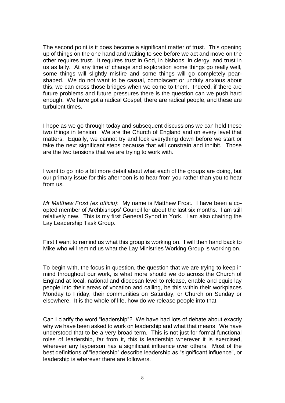The second point is it does become a significant matter of trust. This opening up of things on the one hand and waiting to see before we act and move on the other requires trust. It requires trust in God, in bishops, in clergy, and trust in us as laity. At any time of change and exploration some things go really well, some things will slightly misfire and some things will go completely pearshaped. We do not want to be casual, complacent or unduly anxious about this, we can cross those bridges when we come to them. Indeed, if there are future problems and future pressures there is the question can we push hard enough. We have got a radical Gospel, there are radical people, and these are turbulent times.

I hope as we go through today and subsequent discussions we can hold these two things in tension. We are the Church of England and on every level that matters. Equally, we cannot try and lock everything down before we start or take the next significant steps because that will constrain and inhibit. Those are the two tensions that we are trying to work with.

I want to go into a bit more detail about what each of the groups are doing, but our primary issue for this afternoon is to hear from you rather than you to hear from us.

*Mr Matthew Frost (ex officio)*: My name is Matthew Frost. I have been a coopted member of Archbishops' Council for about the last six months. I am still relatively new. This is my first General Synod in York. I am also chairing the Lay Leadership Task Group.

First I want to remind us what this group is working on. I will then hand back to Mike who will remind us what the Lay Ministries Working Group is working on.

To begin with, the focus in question, the question that we are trying to keep in mind throughout our work, is what more should we do across the Church of England at local, national and diocesan level to release, enable and equip lay people into their areas of vocation and calling, be this within their workplaces Monday to Friday, their communities on Saturday, or Church on Sunday or elsewhere. It is the whole of life, how do we release people into that.

Can I clarify the word "leadership"? We have had lots of debate about exactly why we have been asked to work on leadership and what that means. We have understood that to be a very broad term. This is not just for formal functional roles of leadership, far from it, this is leadership wherever it is exercised, wherever any layperson has a significant influence over others. Most of the best definitions of "leadership" describe leadership as "significant influence", or leadership is wherever there are followers.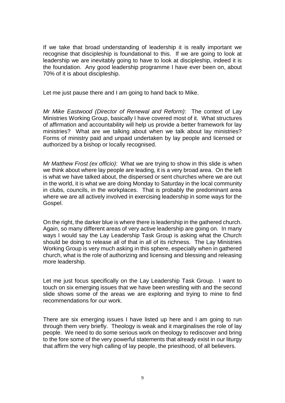If we take that broad understanding of leadership it is really important we recognise that discipleship is foundational to this. If we are going to look at leadership we are inevitably going to have to look at discipleship, indeed it is the foundation. Any good leadership programme I have ever been on, about 70% of it is about discipleship.

Let me just pause there and I am going to hand back to Mike.

*Mr Mike Eastwood (Director of Renewal and Reform)*: The context of Lay Ministries Working Group, basically I have covered most of it. What structures of affirmation and accountability will help us provide a better framework for lay ministries? What are we talking about when we talk about lay ministries? Forms of ministry paid and unpaid undertaken by lay people and licensed or authorized by a bishop or locally recognised.

*Mr Matthew Frost (ex officio)*: What we are trying to show in this slide is when we think about where lay people are leading, it is a very broad area. On the left is what we have talked about, the dispersed or sent churches where we are out in the world, it is what we are doing Monday to Saturday in the local community in clubs, councils, in the workplaces. That is probably the predominant area where we are all actively involved in exercising leadership in some ways for the Gospel.

On the right, the darker blue is where there is leadership in the gathered church. Again, so many different areas of very active leadership are going on. In many ways I would say the Lay Leadership Task Group is asking what the Church should be doing to release all of that in all of its richness. The Lay Ministries Working Group is very much asking in this sphere, especially when in gathered church, what is the role of authorizing and licensing and blessing and releasing more leadership.

Let me just focus specifically on the Lay Leadership Task Group. I want to touch on six emerging issues that we have been wrestling with and the second slide shows some of the areas we are exploring and trying to mine to find recommendations for our work.

There are six emerging issues I have listed up here and I am going to run through them very briefly. Theology is weak and it marginalises the role of lay people. We need to do some serious work on theology to rediscover and bring to the fore some of the very powerful statements that already exist in our liturgy that affirm the very high calling of lay people, the priesthood, of all believers.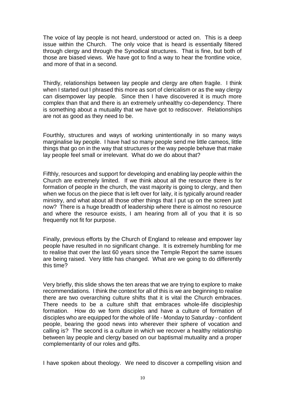The voice of lay people is not heard, understood or acted on. This is a deep issue within the Church. The only voice that is heard is essentially filtered through clergy and through the Synodical structures. That is fine, but both of those are biased views. We have got to find a way to hear the frontline voice, and more of that in a second.

Thirdly, relationships between lay people and clergy are often fragile. I think when I started out I phrased this more as sort of clericalism or as the way clergy can disempower lay people. Since then I have discovered it is much more complex than that and there is an extremely unhealthy co-dependency. There is something about a mutuality that we have got to rediscover. Relationships are not as good as they need to be.

Fourthly, structures and ways of working unintentionally in so many ways marginalise lay people. I have had so many people send me little cameos, little things that go on in the way that structures or the way people behave that make lay people feel small or irrelevant. What do we do about that?

Fifthly, resources and support for developing and enabling lay people within the Church are extremely limited. If we think about all the resource there is for formation of people in the church, the vast majority is going to clergy, and then when we focus on the piece that is left over for laity, it is typically around reader ministry, and what about all those other things that I put up on the screen just now? There is a huge breadth of leadership where there is almost no resource and where the resource exists, I am hearing from all of you that it is so frequently not fit for purpose.

Finally, previous efforts by the Church of England to release and empower lay people have resulted in no significant change. It is extremely humbling for me to realise that over the last 60 years since the Temple Report the same issues are being raised. Very little has changed. What are we going to do differently this time?

Very briefly, this slide shows the ten areas that we are trying to explore to make recommendations. I think the context for all of this is we are beginning to realise there are two overarching culture shifts that it is vital the Church embraces. There needs to be a culture shift that embraces whole-life discipleship formation. How do we form disciples and have a culture of formation of disciples who are equipped for the whole of life - Monday to Saturday - confident people, bearing the good news into wherever their sphere of vocation and calling is? The second is a culture in which we recover a healthy relationship between lay people and clergy based on our baptismal mutuality and a proper complementarity of our roles and gifts.

I have spoken about theology. We need to discover a compelling vision and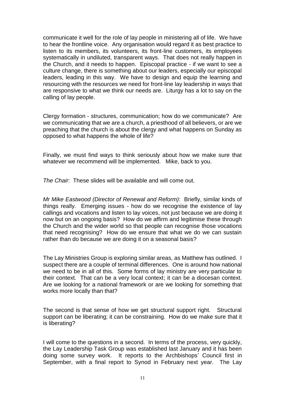communicate it well for the role of lay people in ministering all of life. We have to hear the frontline voice. Any organisation would regard it as best practice to listen to its members, its volunteers, its front-line customers, its employees systematically in undiluted, transparent ways. That does not really happen in the Church, and it needs to happen. Episcopal practice - if we want to see a culture change, there is something about our leaders, especially our episcopal leaders, leading in this way. We have to design and equip the learning and resourcing with the resources we need for front-line lay leadership in ways that are responsive to what we think our needs are. Liturgy has a lot to say on the calling of lay people.

Clergy formation - structures, communication; how do we communicate? Are we communicating that we are a church, a priesthood of all believers, or are we preaching that the church is about the clergy and what happens on Sunday as opposed to what happens the whole of life?

Finally, we must find ways to think seriously about how we make sure that whatever we recommend will be implemented. Mike, back to you.

*The Chair*: These slides will be available and will come out.

*Mr Mike Eastwood (Director of Renewal and Reform)*: Briefly, similar kinds of things really. Emerging issues - how do we recognise the existence of lay callings and vocations and listen to lay voices, not just because we are doing it now but on an ongoing basis? How do we affirm and legitimise these through the Church and the wider world so that people can recognise those vocations that need recognising? How do we ensure that what we do we can sustain rather than do because we are doing it on a seasonal basis?

The Lay Ministries Group is exploring similar areas, as Matthew has outlined. I suspect there are a couple of terminal differences. One is around how national we need to be in all of this. Some forms of lay ministry are very particular to their context. That can be a very local context; it can be a diocesan context. Are we looking for a national framework or are we looking for something that works more locally than that?

The second is that sense of how we get structural support right. Structural support can be liberating; it can be constraining. How do we make sure that it is liberating?

I will come to the questions in a second. In terms of the process, very quickly, the Lay Leadership Task Group was established last January and it has been doing some survey work. It reports to the Archbishops' Council first in September, with a final report to Synod in February next year. The Lay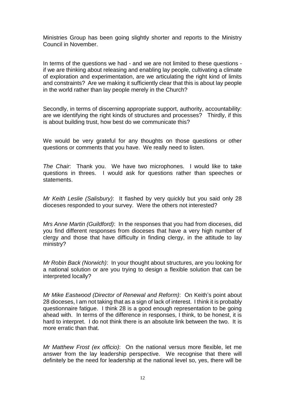Ministries Group has been going slightly shorter and reports to the Ministry Council in November.

In terms of the questions we had - and we are not limited to these questions if we are thinking about releasing and enabling lay people, cultivating a climate of exploration and experimentation, are we articulating the right kind of limits and constraints? Are we making it sufficiently clear that this is about lay people in the world rather than lay people merely in the Church?

Secondly, in terms of discerning appropriate support, authority, accountability: are we identifying the right kinds of structures and processes? Thirdly, if this is about building trust, how best do we communicate this?

We would be very grateful for any thoughts on those questions or other questions or comments that you have. We really need to listen.

*The Chair*: Thank you. We have two microphones. I would like to take questions in threes. I would ask for questions rather than speeches or statements.

*Mr Keith Leslie (Salisbury)*: It flashed by very quickly but you said only 28 dioceses responded to your survey. Were the others not interested?

*Mrs Anne Martin (Guildford)*: In the responses that you had from dioceses, did you find different responses from dioceses that have a very high number of clergy and those that have difficulty in finding clergy, in the attitude to lay ministry?

*Mr Robin Back (Norwich)*: In your thought about structures, are you looking for a national solution or are you trying to design a flexible solution that can be interpreted locally?

*Mr Mike Eastwood (Director of Renewal and Reform)*: On Keith's point about 28 dioceses, I am not taking that as a sign of lack of interest. I think it is probably questionnaire fatigue. I think 28 is a good enough representation to be going ahead with. In terms of the difference in responses, I think, to be honest, it is hard to interpret. I do not think there is an absolute link between the two. It is more erratic than that.

*Mr Matthew Frost (ex officio)*: On the national versus more flexible, let me answer from the lay leadership perspective. We recognise that there will definitely be the need for leadership at the national level so, yes, there will be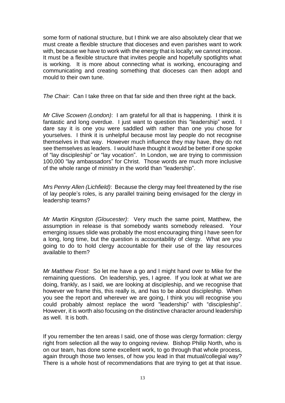some form of national structure, but I think we are also absolutely clear that we must create a flexible structure that dioceses and even parishes want to work with, because we have to work with the energy that is locally; we cannot impose. It must be a flexible structure that invites people and hopefully spotlights what is working. It is more about connecting what is working, encouraging and communicating and creating something that dioceses can then adopt and mould to their own tune.

*The Chair*: Can I take three on that far side and then three right at the back.

*Mr Clive Scowen (London)*: I am grateful for all that is happening. I think it is fantastic and long overdue. I just want to question this "leadership" word. I dare say it is one you were saddled with rather than one you chose for yourselves. I think it is unhelpful because most lay people do not recognise themselves in that way. However much influence they may have, they do not see themselves as leaders. I would have thought it would be better if one spoke of "lay discipleship" or "lay vocation". In London, we are trying to commission 100,000 "lay ambassadors" for Christ. Those words are much more inclusive of the whole range of ministry in the world than "leadership".

*Mrs Penny Allen (Lichfield)*: Because the clergy may feel threatened by the rise of lay people's roles, is any parallel training being envisaged for the clergy in leadership teams?

*Mr Martin Kingston (Gloucester)*: Very much the same point, Matthew, the assumption in release is that somebody wants somebody released. Your emerging issues slide was probably the most encouraging thing I have seen for a long, long time, but the question is accountability of clergy. What are you going to do to hold clergy accountable for their use of the lay resources available to them?

*Mr Matthew Frost*: So let me have a go and I might hand over to Mike for the remaining questions. On leadership, yes, I agree. If you look at what we are doing, frankly, as I said, we are looking at discipleship, and we recognise that however we frame this, this really is, and has to be about discipleship. When you see the report and wherever we are going, I think you will recognise you could probably almost replace the word "leadership" with "discipleship". However, it is worth also focusing on the distinctive character around leadership as well. It is both.

If you remember the ten areas I said, one of those was clergy formation: clergy right from selection all the way to ongoing review. Bishop Philip North, who is on our team, has done some excellent work, to go through that whole process, again through those two lenses, of how you lead in that mutual/collegial way? There is a whole host of recommendations that are trying to get at that issue.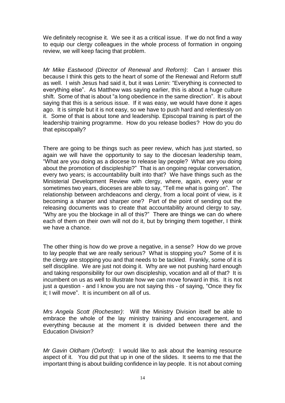We definitely recognise it. We see it as a critical issue. If we do not find a way to equip our clergy colleagues in the whole process of formation in ongoing review, we will keep facing that problem.

*Mr Mike Eastwood (Director of Renewal and Reform)*: Can I answer this because I think this gets to the heart of some of the Renewal and Reform stuff as well. I wish Jesus had said it, but it was Lenin: "Everything is connected to everything else". As Matthew was saying earlier, this is about a huge culture shift. Some of that is about "a long obedience in the same direction". It is about saying that this is a serious issue. If it was easy, we would have done it ages ago. It is simple but it is not easy, so we have to push hard and relentlessly on it. Some of that is about tone and leadership. Episcopal training is part of the leadership training programme. How do you release bodies? How do you do that episcopally?

There are going to be things such as peer review, which has just started, so again we will have the opportunity to say to the diocesan leadership team, "What are you doing as a diocese to release lay people? What are you doing about the promotion of discipleship?" That is an ongoing regular conversation, every two years; is accountability built into that? We have things such as the Ministerial Development Review with clergy, where, again, every year or sometimes two years, dioceses are able to say, "Tell me what is going on". The relationship between archdeacons and clergy, from a local point of view, is it becoming a sharper and sharper one? Part of the point of sending out the releasing documents was to create that accountability around clergy to say, "Why are you the blockage in all of this?" There are things we can do where each of them on their own will not do it, but by bringing them together, I think we have a chance.

The other thing is how do we prove a negative, in a sense? How do we prove to lay people that we are really serious? What is stopping you? Some of it is the clergy are stopping you and that needs to be tackled. Frankly, some of it is self discipline. We are just not doing it. Why are we not pushing hard enough and taking responsibility for our own discipleship, vocation and all of that? It is incumbent on us as well to illustrate how we can move forward in this. It is not just a question - and I know you are not saying this - of saying, "Once they fix it; I will move". It is incumbent on all of us.

*Mrs Angela Scott (Rochester)*: Will the Ministry Division itself be able to embrace the whole of the lay ministry training and encouragement, and everything because at the moment it is divided between there and the Education Division?

*Mr Gavin Oldham (Oxford)*: I would like to ask about the learning resource aspect of it. You did put that up in one of the slides. It seems to me that the important thing is about building confidence in lay people. It is not about coming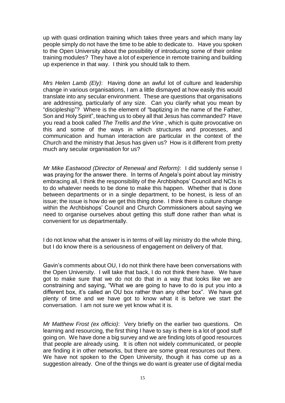up with quasi ordination training which takes three years and which many lay people simply do not have the time to be able to dedicate to. Have you spoken to the Open University about the possibility of introducing some of their online training modules? They have a lot of experience in remote training and building up experience in that way. I think you should talk to them.

*Mrs Helen Lamb (Ely)*: Having done an awful lot of culture and leadership change in various organisations, I am a little dismayed at how easily this would translate into any secular environment. These are questions that organisations are addressing, particularly of any size. Can you clarify what you mean by "discipleship"? Where is the element of "baptizing in the name of the Father, Son and Holy Spirit", teaching us to obey all that Jesus has commanded? Have you read a book called *The Trellis and the Vine* , which is quite provocative on this and some of the ways in which structures and processes, and communication and human interaction are particular in the context of the Church and the ministry that Jesus has given us? How is it different from pretty much any secular organisation for us?

*Mr Mike Eastwood (Director of Renewal and Reform)*: I did suddenly sense I was praying for the answer there. In terms of Angela's point about lay ministry embracing all, I think the responsibility of the Archbishops' Council and NCIs is to do whatever needs to be done to make this happen. Whether that is done between departments or in a single department, to be honest, is less of an issue; the issue is how do we get this thing done. I think there is culture change within the Archbishops' Council and Church Commissioners about saving we need to organise ourselves about getting this stuff done rather than what is convenient for us departmentally.

I do not know what the answer is in terms of will lay ministry do the whole thing, but I do know there is a seriousness of engagement on delivery of that.

Gavin's comments about OU, I do not think there have been conversations with the Open University. I will take that back, I do not think there have. We have got to make sure that we do not do that in a way that looks like we are constraining and saying, "What we are going to have to do is put you into a different box, it's called an OU box rather than any other box". We have got plenty of time and we have got to know what it is before we start the conversation. I am not sure we yet know what it is.

*Mr Matthew Frost (ex officio)*: Very briefly on the earlier two questions. On learning and resourcing, the first thing I have to say is there is a lot of good stuff going on. We have done a big survey and we are finding lots of good resources that people are already using. It is often not widely communicated, or people are finding it in other networks, but there are some great resources out there. We have not spoken to the Open University, though it has come up as a suggestion already. One of the things we do want is greater use of digital media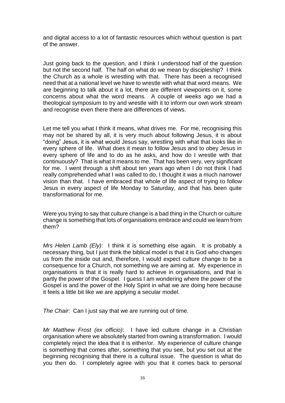and digital access to a lot of fantastic resources which without question is part of the answer.

Just going back to the question, and I think I understood half of the question but not the second half. The half on what do we mean by discipleship? I think the Church as a whole is wrestling with that. There has been a recognised need that at a national level we have to wrestle with what that word means. We are beginning to talk about it a lot, there are different viewpoints on it, some concerns about what the word means. A couple of weeks ago we had a theological symposium to try and wrestle with it to inform our own work stream and recognise even there there are differences of views.

Let me tell you what I think it means, what drives me. For me, recognising this may not be shared by all, it is very much about following Jesus, it is about "doing" Jesus, it is what would Jesus say, wrestling with what that looks like in every sphere of life. What does it mean to follow Jesus and to obey Jesus in every sphere of life and to do as he asks, and how do I wrestle with that continuously? That is what it means to me. That has been very, very significant for me. I went through a shift about ten years ago when I do not think I had really comprehended what I was called to do, I thought it was a much narrower vision than that. I have embraced that whole of life aspect of trying to follow Jesus in every aspect of life Monday to Saturday, and that has been quite transformational for me.

Were you trying to say that culture change is a bad thing in the Church or culture change is something that lots of organisations embrace and could we learn from them?

*Mrs Helen Lamb (Ely)*: I think it is something else again. It is probably a necessary thing, but I just think the biblical model is that it is God who changes us from the inside out and, therefore, I would expect culture change to be a consequence for a Church, not something we are aiming at. My experience in organisations is that it is really hard to achieve in organisations, and that is partly the power of the Gospel. I guess I am wondering where the power of the Gospel is and the power of the Holy Spirit in what we are doing here because it feels a little bit like we are applying a secular model.

*The Chair*: Can I just say that we are running out of time.

*Mr Matthew Frost (ex officio)*: I have led culture change in a Christian organisation where we absolutely started from owning a transformation. I would completely reject the idea that it is either/or. My experience of culture change is something that comes after, something that you see, but you set out at the beginning recognising that there is a cultural issue. The question is what do you then do. I completely agree with you that it comes back to personal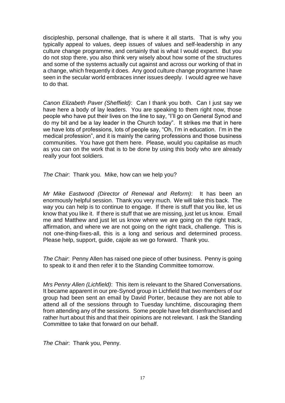discipleship, personal challenge, that is where it all starts. That is why you typically appeal to values, deep issues of values and self-leadership in any culture change programme, and certainly that is what I would expect. But you do not stop there, you also think very wisely about how some of the structures and some of the systems actually cut against and across our working of that in a change, which frequently it does. Any good culture change programme I have seen in the secular world embraces inner issues deeply. I would agree we have to do that.

*Canon Elizabeth Paver (Sheffield)*: Can I thank you both. Can I just say we have here a body of lay leaders. You are speaking to them right now, those people who have put their lives on the line to say, "I'll go on General Synod and do my bit and be a lay leader in the Church today". It strikes me that in here we have lots of professions, lots of people say, "Oh, I'm in education. I'm in the medical profession", and it is mainly the caring professions and those business communities. You have got them here. Please, would you capitalise as much as you can on the work that is to be done by using this body who are already really your foot soldiers.

*The Chair*: Thank you. Mike, how can we help you?

*Mr Mike Eastwood (Director of Renewal and Reform)*: It has been an enormously helpful session. Thank you very much. We will take this back. The way you can help is to continue to engage. If there is stuff that you like, let us know that you like it. If there is stuff that we are missing, just let us know. Email me and Matthew and just let us know where we are going on the right track, affirmation, and where we are not going on the right track, challenge. This is not one-thing-fixes-all, this is a long and serious and determined process. Please help, support, guide, cajole as we go forward. Thank you.

*The Chair*: Penny Allen has raised one piece of other business. Penny is going to speak to it and then refer it to the Standing Committee tomorrow.

*Mrs Penny Allen (Lichfield)*: This item is relevant to the Shared Conversations. It became apparent in our pre-Synod group in Lichfield that two members of our group had been sent an email by David Porter, because they are not able to attend all of the sessions through to Tuesday lunchtime, discouraging them from attending any of the sessions. Some people have felt disenfranchised and rather hurt about this and that their opinions are not relevant. I ask the Standing Committee to take that forward on our behalf.

*The Chair*: Thank you, Penny.